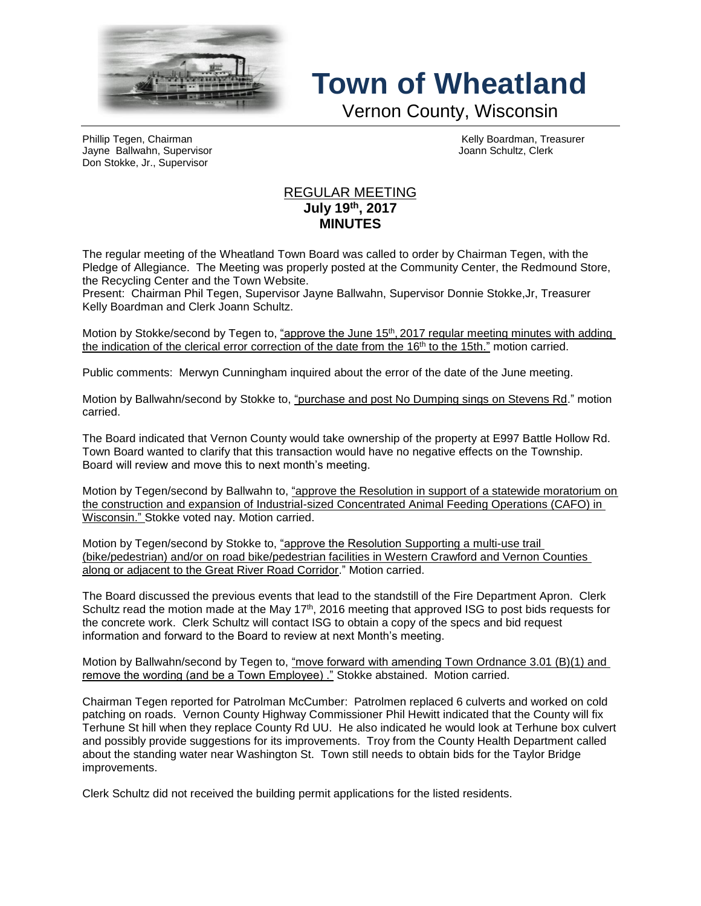

## **Town of Wheatland**

Vernon County, Wisconsin

Phillip Tegen, Chairman Kelly Boardman, Treasurer<br>
Phillip Tegen, Chairman Kelly Boardman, Treasurer<br>
Valley Ann Schultz, Clerk Jayne Ballwahn, Supervisor Don Stokke, Jr., Supervisor

## REGULAR MEETING **July 19th , 2017 MINUTES**

The regular meeting of the Wheatland Town Board was called to order by Chairman Tegen, with the Pledge of Allegiance. The Meeting was properly posted at the Community Center, the Redmound Store, the Recycling Center and the Town Website.

Present: Chairman Phil Tegen, Supervisor Jayne Ballwahn, Supervisor Donnie Stokke,Jr, Treasurer Kelly Boardman and Clerk Joann Schultz.

Motion by Stokke/second by Tegen to, <u>"approve the June 15<sup>th</sup>, 2017 regular meeting minutes with adding</u> the indication of the clerical error correction of the date from the 16<sup>th</sup> to the 15th." motion carried.

Public comments: Merwyn Cunningham inquired about the error of the date of the June meeting.

Motion by Ballwahn/second by Stokke to, "purchase and post No Dumping sings on Stevens Rd." motion carried.

The Board indicated that Vernon County would take ownership of the property at E997 Battle Hollow Rd. Town Board wanted to clarify that this transaction would have no negative effects on the Township. Board will review and move this to next month's meeting.

Motion by Tegen/second by Ballwahn to, "approve the Resolution in support of a statewide moratorium on the construction and expansion of Industrial-sized Concentrated Animal Feeding Operations (CAFO) in Wisconsin." Stokke voted nay. Motion carried.

Motion by Tegen/second by Stokke to, "approve the Resolution Supporting a multi-use trail (bike/pedestrian) and/or on road bike/pedestrian facilities in Western Crawford and Vernon Counties along or adjacent to the Great River Road Corridor." Motion carried.

The Board discussed the previous events that lead to the standstill of the Fire Department Apron. Clerk Schultz read the motion made at the May  $17<sup>th</sup>$ , 2016 meeting that approved ISG to post bids requests for the concrete work. Clerk Schultz will contact ISG to obtain a copy of the specs and bid request information and forward to the Board to review at next Month's meeting.

Motion by Ballwahn/second by Tegen to, "move forward with amending Town Ordnance 3.01 (B)(1) and remove the wording (and be a Town Employee) ." Stokke abstained. Motion carried.

Chairman Tegen reported for Patrolman McCumber: Patrolmen replaced 6 culverts and worked on cold patching on roads. Vernon County Highway Commissioner Phil Hewitt indicated that the County will fix Terhune St hill when they replace County Rd UU. He also indicated he would look at Terhune box culvert and possibly provide suggestions for its improvements. Troy from the County Health Department called about the standing water near Washington St. Town still needs to obtain bids for the Taylor Bridge improvements.

Clerk Schultz did not received the building permit applications for the listed residents.